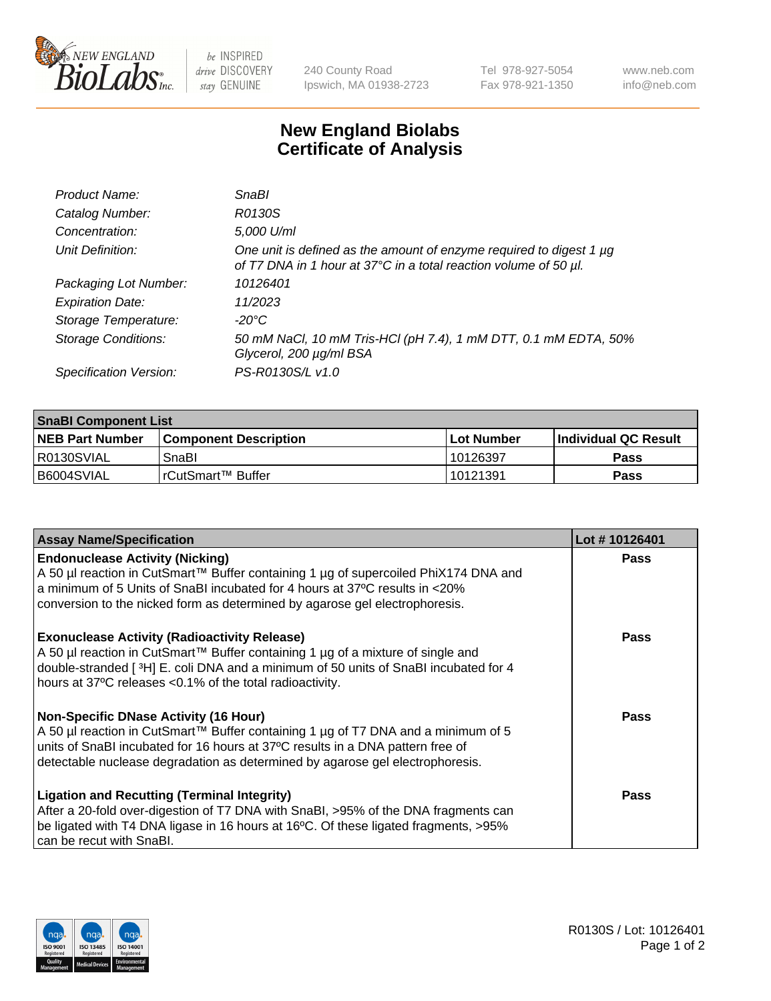

 $be$  INSPIRED drive DISCOVERY stay GENUINE

240 County Road Ipswich, MA 01938-2723 Tel 978-927-5054 Fax 978-921-1350 www.neb.com info@neb.com

## **New England Biolabs Certificate of Analysis**

| Product Name:              | SnaBl                                                                                                                                   |
|----------------------------|-----------------------------------------------------------------------------------------------------------------------------------------|
| Catalog Number:            | R0130S                                                                                                                                  |
| Concentration:             | 5,000 U/ml                                                                                                                              |
| Unit Definition:           | One unit is defined as the amount of enzyme required to digest 1 µg<br>of T7 DNA in 1 hour at 37°C in a total reaction volume of 50 µl. |
| Packaging Lot Number:      | 10126401                                                                                                                                |
| <b>Expiration Date:</b>    | 11/2023                                                                                                                                 |
| Storage Temperature:       | $-20^{\circ}$ C                                                                                                                         |
| <b>Storage Conditions:</b> | 50 mM NaCl, 10 mM Tris-HCl (pH 7.4), 1 mM DTT, 0.1 mM EDTA, 50%<br>Glycerol, 200 µg/ml BSA                                              |
| Specification Version:     | PS-R0130S/L v1.0                                                                                                                        |

| <b>SnaBI Component List</b> |                              |              |                             |  |
|-----------------------------|------------------------------|--------------|-----------------------------|--|
| <b>NEB Part Number</b>      | <b>Component Description</b> | l Lot Number | <b>Individual QC Result</b> |  |
| I R0130SVIAL                | SnaBl                        | 10126397     | Pass                        |  |
| B6004SVIAL                  | l rCutSmart™ Buffer          | 10121391     | Pass                        |  |

| <b>Assay Name/Specification</b>                                                                                                                                                                                                                                                                      | Lot #10126401 |
|------------------------------------------------------------------------------------------------------------------------------------------------------------------------------------------------------------------------------------------------------------------------------------------------------|---------------|
| <b>Endonuclease Activity (Nicking)</b><br>A 50 µl reaction in CutSmart™ Buffer containing 1 µg of supercoiled PhiX174 DNA and<br>a minimum of 5 Units of SnaBI incubated for 4 hours at 37°C results in <20%<br>conversion to the nicked form as determined by agarose gel electrophoresis.          | Pass          |
| <b>Exonuclease Activity (Radioactivity Release)</b><br>A 50 µl reaction in CutSmart™ Buffer containing 1 µg of a mixture of single and<br>double-stranded [3H] E. coli DNA and a minimum of 50 units of SnaBl incubated for 4<br>hours at 37°C releases <0.1% of the total radioactivity.            | <b>Pass</b>   |
| <b>Non-Specific DNase Activity (16 Hour)</b><br>A 50 µl reaction in CutSmart™ Buffer containing 1 µg of T7 DNA and a minimum of 5<br>units of SnaBI incubated for 16 hours at 37°C results in a DNA pattern free of<br>detectable nuclease degradation as determined by agarose gel electrophoresis. | <b>Pass</b>   |
| <b>Ligation and Recutting (Terminal Integrity)</b><br>After a 20-fold over-digestion of T7 DNA with SnaBI, >95% of the DNA fragments can<br>be ligated with T4 DNA ligase in 16 hours at 16°C. Of these ligated fragments, >95%<br>can be recut with SnaBl.                                          | Pass          |